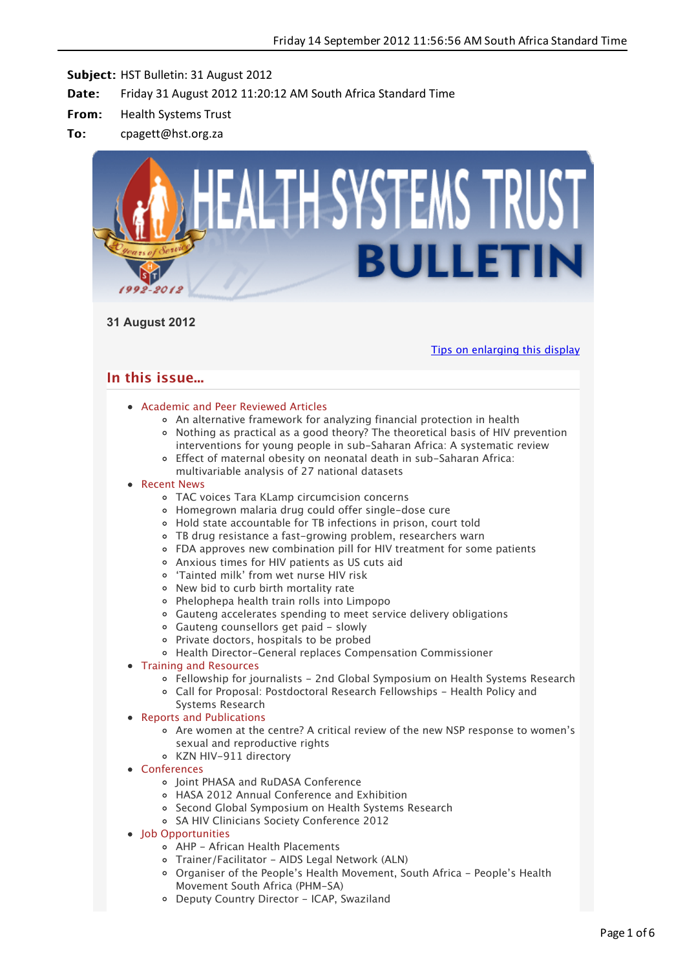

**31 August 2012**

[Tips on enlarging this display](http://bulletin.hst.org.za//lt.php?id=K09VC11dVQ8OSlBXBkUHC1NR)

# **In this issue...**

# [Academic and Peer Reviewed Articles](applewebdata://ACB2D218-4758-4F0C-A792-FB07655D4508#Academic)

- [An alternative framework for analyzing financial protection in health](applewebdata://ACB2D218-4758-4F0C-A792-FB07655D4508#A_1)
- [Nothing as practical as a good theory? The theoretical basis of HIV prevention](applewebdata://ACB2D218-4758-4F0C-A792-FB07655D4508#A_2) interventions for young people in sub-Saharan Africa: A systematic review
- [Effect of maternal obesity on neonatal death in sub-Saharan Africa:](applewebdata://ACB2D218-4758-4F0C-A792-FB07655D4508#A_3) multivariable analysis of 27 national datasets

## • [Recent News](applewebdata://ACB2D218-4758-4F0C-A792-FB07655D4508#recent)

- [TAC voices Tara KLamp circumcision concerns](applewebdata://ACB2D218-4758-4F0C-A792-FB07655D4508#N_1)
- [Homegrown malaria drug could offer single-dose cure](applewebdata://ACB2D218-4758-4F0C-A792-FB07655D4508#N_2)
- [Hold state accountable for TB infections in prison, court told](applewebdata://ACB2D218-4758-4F0C-A792-FB07655D4508#N_3)
- [TB drug resistance a fast-growing problem, researchers warn](applewebdata://ACB2D218-4758-4F0C-A792-FB07655D4508#N_4)
- [FDA approves new combination pill for HIV treatment for some patients](applewebdata://ACB2D218-4758-4F0C-A792-FB07655D4508#N_5)
- [Anxious times for HIV patients as US cuts aid](applewebdata://ACB2D218-4758-4F0C-A792-FB07655D4508#N_6)
- ['Tainted milk' from wet nurse HIV risk](applewebdata://ACB2D218-4758-4F0C-A792-FB07655D4508#N_7)
- [New bid to curb birth mortality rate](applewebdata://ACB2D218-4758-4F0C-A792-FB07655D4508#N_8)
- [Phelophepa health train rolls into Limpopo](applewebdata://ACB2D218-4758-4F0C-A792-FB07655D4508#N_9)
- [Gauteng accelerates spending to meet service delivery obligations](applewebdata://ACB2D218-4758-4F0C-A792-FB07655D4508#N_10)
- [Gauteng counsellors get paid slowly](applewebdata://ACB2D218-4758-4F0C-A792-FB07655D4508#N_11)
- [Private doctors, hospitals to be probed](applewebdata://ACB2D218-4758-4F0C-A792-FB07655D4508#N_12)
- [Health Director-General replaces Compensation Commissioner](applewebdata://ACB2D218-4758-4F0C-A792-FB07655D4508#N_13)
- [Training and Resources](applewebdata://ACB2D218-4758-4F0C-A792-FB07655D4508#train)
	- [Fellowship for journalists 2nd Global Symposium on Health Systems Research](applewebdata://ACB2D218-4758-4F0C-A792-FB07655D4508#T_0)
	- [Call for Proposal: Postdoctoral Research Fellowships Health Policy and](applewebdata://ACB2D218-4758-4F0C-A792-FB07655D4508#T_1) Systems Research
- [Reports and Publications](applewebdata://ACB2D218-4758-4F0C-A792-FB07655D4508#publications)
	- [Are women at the centre? A critical review of the new NSP response to women's](applewebdata://ACB2D218-4758-4F0C-A792-FB07655D4508#P_1) sexual and reproductive rights
	- [KZN HIV-911 directory](applewebdata://ACB2D218-4758-4F0C-A792-FB07655D4508#P_2)
- [Conferences](applewebdata://ACB2D218-4758-4F0C-A792-FB07655D4508#conferences)
	- o [Joint PHASA and RuDASA Conference](applewebdata://ACB2D218-4758-4F0C-A792-FB07655D4508#C_3)
	- [HASA 2012 Annual Conference and Exhibition](applewebdata://ACB2D218-4758-4F0C-A792-FB07655D4508#C_4)
	- o [Second Global Symposium on Health Systems Research](applewebdata://ACB2D218-4758-4F0C-A792-FB07655D4508#C_5)
	- o [SA HIV Clinicians Society Conference 2012](applewebdata://ACB2D218-4758-4F0C-A792-FB07655D4508#C_6)
- Iob Opportunities
	- [AHP African Health Placements](applewebdata://ACB2D218-4758-4F0C-A792-FB07655D4508#J_0)
	- [Trainer/Facilitator AIDS Legal Network \(ALN\)](applewebdata://ACB2D218-4758-4F0C-A792-FB07655D4508#J_3)
	- [Organiser of the People's Health Movement, South Africa People's Health](applewebdata://ACB2D218-4758-4F0C-A792-FB07655D4508#J_4) Movement South Africa (PHM-SA)
	- [Deputy Country Director ICAP, Swaziland](applewebdata://ACB2D218-4758-4F0C-A792-FB07655D4508#J_5)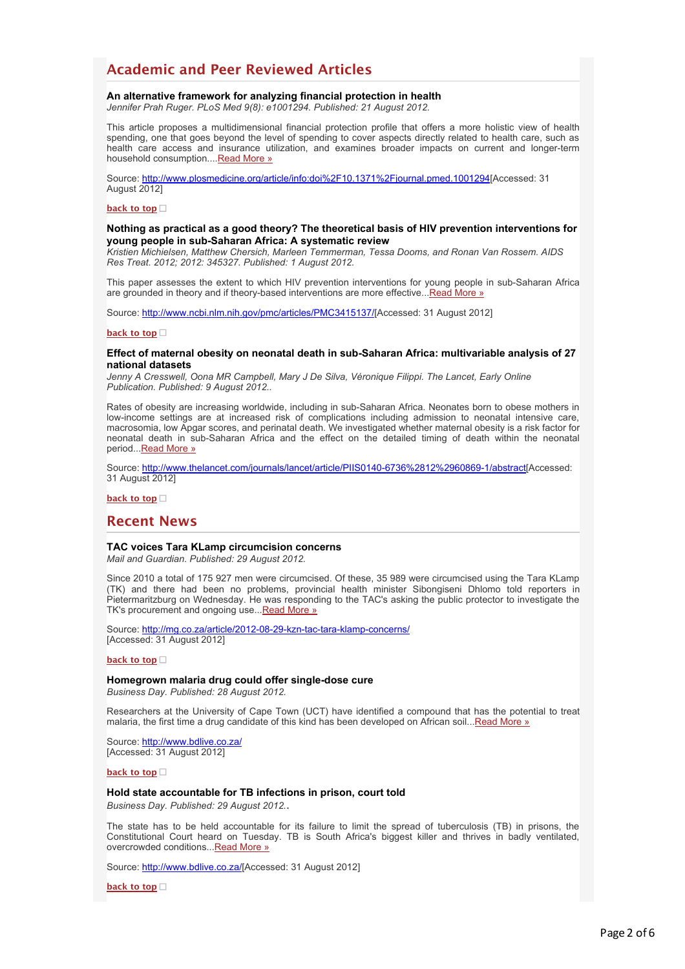# **Academic and Peer Reviewed Articles**

### **An alternative framework for analyzing financial protection in health**

*Jennifer Prah Ruger. PLoS Med 9(8): e1001294. Published: 21 August 2012.*

This article proposes a multidimensional financial protection profile that offers a more holistic view of health spending, one that goes beyond the level of spending to cover aspects directly related to health care, such as health care access and insurance utilization, and examines broader impacts on current and longer-term household consumption...[.Read More »](http://bulletin.hst.org.za//lt.php?id=K09VC11dVAYHSlBXBkUHC1NR)

Source: [http://www.plosmedicine.org/article/info:doi%2F10.1371%2Fjournal.pmed.1001294\[](http://bulletin.hst.org.za//lt.php?id=K09VC11dVAYHSlBXBkUHC1NR)Accessed: 31 August 2012]

#### **[back to top](applewebdata://ACB2D218-4758-4F0C-A792-FB07655D4508#top)**

### **Nothing as practical as a good theory? The theoretical basis of HIV prevention interventions for young people in sub-Saharan Africa: A systematic review**

*Kristien Michielsen, Matthew Chersich, Marleen Temmerman, Tessa Dooms, and Ronan Van Rossem. AIDS Res Treat. 2012; 2012: 345327. Published: 1 August 2012.*

This paper assesses the extent to which HIV prevention interventions for young people in sub-Saharan Africa are grounded in theory and if theory-based interventions are more effective..[.Read More »](http://bulletin.hst.org.za//lt.php?id=K09VC11dVAYGSlBXBkUHC1NR)

Source: [http://www.ncbi.nlm.nih.gov/pmc/articles/PMC3415137/](http://bulletin.hst.org.za//lt.php?id=K09VC11dVAYGSlBXBkUHC1NR)[Accessed: 31 August 2012]

### **[back to top](applewebdata://ACB2D218-4758-4F0C-A792-FB07655D4508#top)**

#### **Effect of maternal obesity on neonatal death in sub-Saharan Africa: multivariable analysis of 27 national datasets**

*Jenny A Cresswell, Oona MR Campbell, Mary J De Silva, Véronique Filippi. The Lancet, Early Online Publication. Published: 9 August 2012..*

Rates of obesity are increasing worldwide, including in sub-Saharan Africa. Neonates born to obese mothers in low-income settings are at increased risk of complications including admission to neonatal intensive care, macrosomia, low Apgar scores, and perinatal death. We investigated whether maternal obesity is a risk factor for neonatal death in sub-Saharan Africa and the effect on the detailed timing of death within the neonatal period... Read More »

Source: [http://www.thelancet.com/journals/lancet/article/PIIS0140-6736%2812%2960869-1/abstract\[](http://bulletin.hst.org.za//lt.php?id=K09VC11dVAYFSlBXBkUHC1NR)Accessed: 31 August 2012]

**[back to top](applewebdata://ACB2D218-4758-4F0C-A792-FB07655D4508#top)**

### **Recent News**

### **TAC voices Tara KLamp circumcision concerns**

*Mail and Guardian. Published: 29 August 2012.*

Since 2010 a total of 175 927 men were circumcised. Of these, 35 989 were circumcised using the Tara KLamp (TK) and there had been no problems, provincial health minister Sibongiseni Dhlomo told reporters in Pietermaritzburg on Wednesday. He was responding to the TAC's asking the public protector to investigate the TK's procurement and ongoing use... [Read More »](http://bulletin.hst.org.za//lt.php?id=K09VC11dVAYESlBXBkUHC1NR)

Source: [http://mg.co.za/article/2012-08-29-kzn-tac-tara-klamp-concerns/](http://bulletin.hst.org.za//lt.php?id=K09VC11dVAYDSlBXBkUHC1NR) [Accessed: 31 August 2012]

#### **[back to top](applewebdata://ACB2D218-4758-4F0C-A792-FB07655D4508#top)**

### **Homegrown malaria drug could offer single-dose cure**

*Business Day. Published: 28 August 2012.*

Researchers at the University of Cape Town (UCT) have identified a compound that has the potential to treat malaria, the first time a drug candidate of this kind has been developed on African soil..[.Read More »](http://bulletin.hst.org.za//lt.php?id=K09VC11dVAYCSlBXBkUHC1NR)

Source: [http://www.bdlive.co.za/](http://bulletin.hst.org.za//lt.php?id=K09VC11dVAYBSlBXBkUHC1NR) [Accessed: 31 August 2012]

#### **[back to top](applewebdata://ACB2D218-4758-4F0C-A792-FB07655D4508#top)**

#### **Hold state accountable for TB infections in prison, court told**

*Business Day. Published: 29 August 2012.*.

The state has to be held accountable for its failure to limit the spread of tuberculosis (TB) in prisons, the Constitutional Court heard on Tuesday. TB is South Africa's biggest killer and thrives in badly ventilated, overcrowded conditions... Read More »

Source: [http://www.bdlive.co.za/](http://bulletin.hst.org.za//lt.php?id=K09VC11dVAYPSlBXBkUHC1NR)[Accessed: 31 August 2012]

**[back to top](applewebdata://ACB2D218-4758-4F0C-A792-FB07655D4508#top)**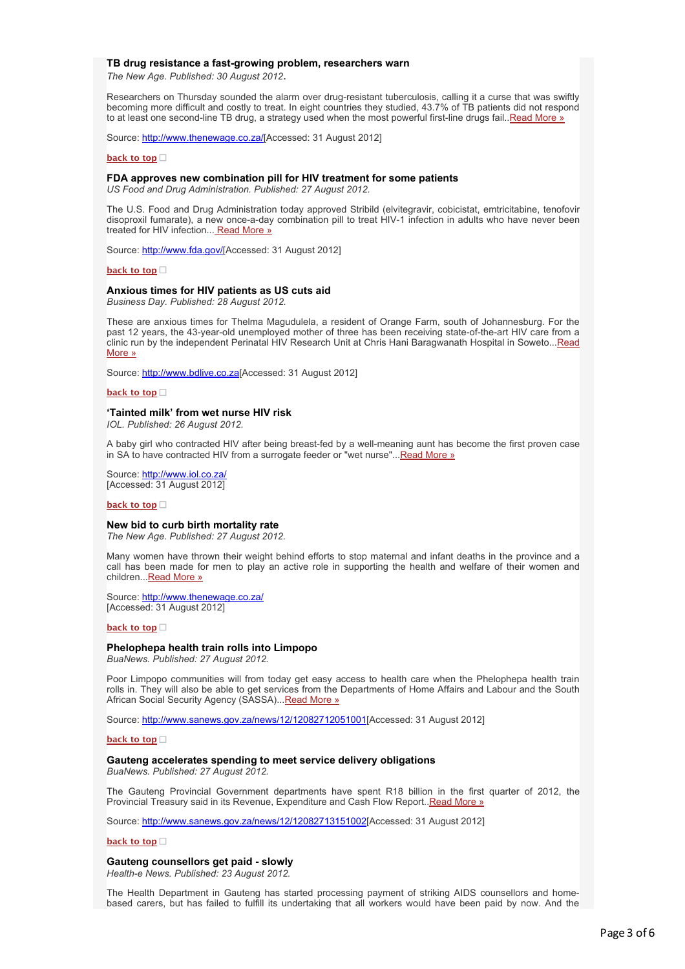### **TB drug resistance a fast-growing problem, researchers warn**

*The New Age. Published: 30 August 2012*.

Researchers on Thursday sounded the alarm over drug-resistant tuberculosis, calling it a curse that was swiftly becoming more difficult and costly to treat. In eight countries they studied, 43.7% of TB patients did not respond to at least one second-line TB drug, a strategy used when the most powerful first-line drugs fail. Read More »

Source: [http://www.thenewage.co.za/\[](http://bulletin.hst.org.za//lt.php?id=K09VC11dVAcHSlBXBkUHC1NR)Accessed: 31 August 2012]

#### **[back to top](applewebdata://ACB2D218-4758-4F0C-A792-FB07655D4508#top)**

## **FDA approves new combination pill for HIV treatment for some patients**

*US Food and Drug Administration. Published: 27 August 2012.*

The U.S. Food and Drug Administration today approved Stribild (elvitegravir, cobicistat, emtricitabine, tenofovir disoproxil fumarate), a new once-a-day combination pill to treat HIV-1 infection in adults who have never been treated for HIV infection... [Read More »](http://bulletin.hst.org.za//lt.php?id=K09VC11dVAcGSlBXBkUHC1NR)

Source: [http://www.fda.gov/\[](http://bulletin.hst.org.za//lt.php?id=K09VC11dVAcFSlBXBkUHC1NR)Accessed: 31 August 2012]

#### **[back to top](applewebdata://ACB2D218-4758-4F0C-A792-FB07655D4508#top)**

### **Anxious times for HIV patients as US cuts aid**

*Business Day. Published: 28 August 2012.*

These are anxious times for Thelma Magudulela, a resident of Orange Farm, south of Johannesburg. For the past 12 years, the 43-year-old unemployed mother of three has been receiving state-of-the-art HIV care from a [clinic run by the independent Perinatal HIV Research Unit at Chris Hani Baragwanath Hospital in Soweto...Read](http://bulletin.hst.org.za//lt.php?id=K09VC11dVAcESlBXBkUHC1NR) More »

Source: [http://www.bdlive.co.za\[](http://bulletin.hst.org.za//lt.php?id=K09VC11dVAcDSlBXBkUHC1NR)Accessed: 31 August 2012]

**[back to top](applewebdata://ACB2D218-4758-4F0C-A792-FB07655D4508#top)**

### **'Tainted milk' from wet nurse HIV risk**

*IOL. Published: 26 August 2012.*

A baby girl who contracted HIV after being breast-fed by a well-meaning aunt has become the first proven case in SA to have contracted HIV from a surrogate feeder or "wet nurse"... Read More »

Source: http://www.iol.co.za [Accessed: 31 August 2012]

#### **[back to top](applewebdata://ACB2D218-4758-4F0C-A792-FB07655D4508#top)**

#### **New bid to curb birth mortality rate**

*The New Age. Published: 27 August 2012.*

Many women have thrown their weight behind efforts to stop maternal and infant deaths in the province and a call has been made for men to play an active role in supporting the health and welfare of their women and children..[.Read More »](http://bulletin.hst.org.za//lt.php?id=K09VC11dVAcASlBXBkUHC1NR)

Source: [http://www.thenewage.co.za/](http://bulletin.hst.org.za//lt.php?id=K09VC11dVAcPSlBXBkUHC1NR) [Accessed: 31 August 2012]

#### **[back to top](applewebdata://ACB2D218-4758-4F0C-A792-FB07655D4508#top)**

#### **Phelophepa health train rolls into Limpopo**

*BuaNews. Published: 27 August 2012.*

Poor Limpopo communities will from today get easy access to health care when the Phelophepa health train rolls in. They will also be able to get services from the Departments of Home Affairs and Labour and the South African Social Security Agency (SASSA)..[.Read More »](http://bulletin.hst.org.za//lt.php?id=K09VC11dVAcOSlBXBkUHC1NR)

Source: [http://www.sanews.gov.za/news/12/12082712051001](http://bulletin.hst.org.za//lt.php?id=K09VC11dVAQHSlBXBkUHC1NR)[Accessed: 31 August 2012]

#### **[back to top](applewebdata://ACB2D218-4758-4F0C-A792-FB07655D4508#top)**

### **Gauteng accelerates spending to meet service delivery obligations**

*BuaNews. Published: 27 August 2012.*

The Gauteng Provincial Government departments have spent R18 billion in the first quarter of 2012, the Provincial Treasury said in its Revenue, Expenditure and Cash Flow Report.[.Read More »](http://bulletin.hst.org.za//lt.php?id=K09VC11dVAQGSlBXBkUHC1NR)

Source: [http://www.sanews.gov.za/news/12/12082713151002](http://bulletin.hst.org.za//lt.php?id=K09VC11dVAQFSlBXBkUHC1NR)[Accessed: 31 August 2012]

#### **[back to top](applewebdata://ACB2D218-4758-4F0C-A792-FB07655D4508#top)**

### **Gauteng counsellors get paid - slowly**

*Health-e News. Published: 23 August 2012.*

The Health Department in Gauteng has started processing payment of striking AIDS counsellors and homebased carers, but has failed to fulfill its undertaking that all workers would have been paid by now. And the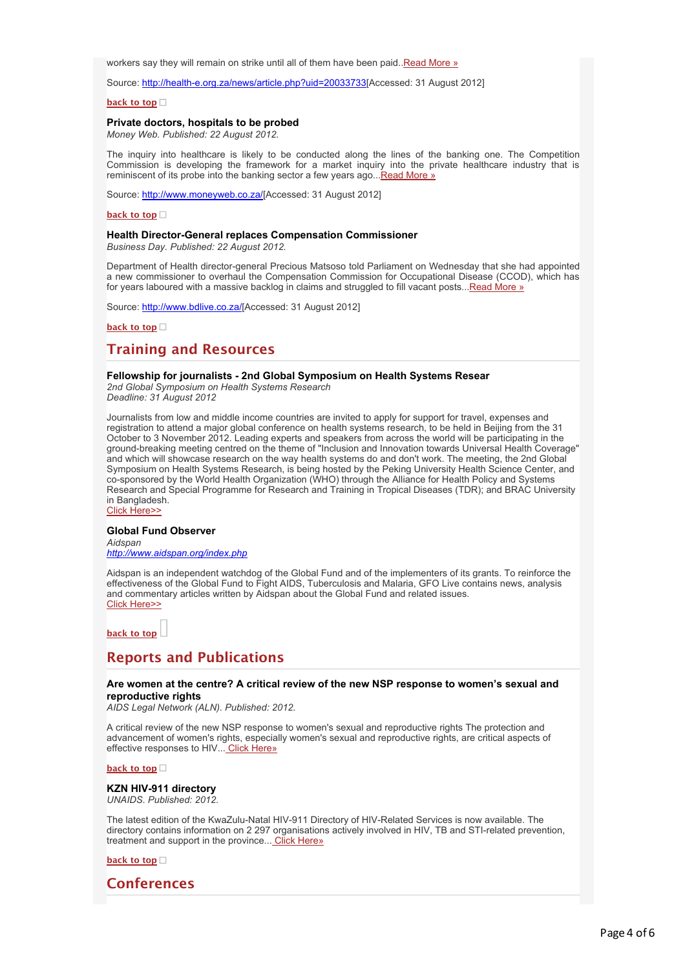workers say they will remain on strike until all of them have been paid. Read More »

Source: [http://health-e.org.za/news/article.php?uid=20033733](http://bulletin.hst.org.za//lt.php?id=K09VC11dVAQDSlBXBkUHC1NR)[Accessed: 31 August 2012]

**[back to top](applewebdata://ACB2D218-4758-4F0C-A792-FB07655D4508#top)**

### **Private doctors, hospitals to be probed**

*Money Web. Published: 22 August 2012.*

The inquiry into healthcare is likely to be conducted along the lines of the banking one. The Competition Commission is developing the framework for a market inquiry into the private healthcare industry that is reminiscent of its probe into the banking sector a few years ago... Read More »

Source: [http://www.moneyweb.co.za/](http://bulletin.hst.org.za//lt.php?id=K09VC11dVAQBSlBXBkUHC1NR)[Accessed: 31 August 2012]

#### **[back to top](applewebdata://ACB2D218-4758-4F0C-A792-FB07655D4508#top)**

### **Health Director-General replaces Compensation Commissioner**

*Business Day. Published: 22 August 2012.*

Department of Health director-general Precious Matsoso told Parliament on Wednesday that she had appointed a new commissioner to overhaul the Compensation Commission for Occupational Disease (CCOD), which has for years laboured with a massive backlog in claims and struggled to fill vacant posts...[Read More »](http://bulletin.hst.org.za//lt.php?id=K09VC11dVAQASlBXBkUHC1NR)

Source: [http://www.bdlive.co.za/](http://bulletin.hst.org.za//lt.php?id=K09VC11dVAQPSlBXBkUHC1NR)[Accessed: 31 August 2012]

**[back to top](applewebdata://ACB2D218-4758-4F0C-A792-FB07655D4508#top)**

# **Training and Resources**

### **Fellowship for journalists - 2nd Global Symposium on Health Systems Resear**

*2nd Global Symposium on Health Systems Research Deadline: 31 August 2012*

Journalists from low and middle income countries are invited to apply for support for travel, expenses and registration to attend a major global conference on health systems research, to be held in Beijing from the 31 October to 3 November 2012. Leading experts and speakers from across the world will be participating in the ground-breaking meeting centred on the theme of "Inclusion and Innovation towards Universal Health Coverage" and which will showcase research on the way health systems do and don't work. The meeting, the 2nd Global Symposium on Health Systems Research, is being hosted by the Peking University Health Science Center, and co-sponsored by the World Health Organization (WHO) through the Alliance for Health Policy and Systems Research and Special Programme for Research and Training in Tropical Diseases (TDR); and BRAC University in Bangladesh.

[Click Here>>](http://bulletin.hst.org.za//lt.php?id=K09VC11dVAQOSlBXBkUHC1NR)

### **Global Fund Observer**

*Aidspan [http://www.aidspan.org/index.php](http://bulletin.hst.org.za//lt.php?id=K09VC11dVAUHSlBXBkUHC1NR)*

Aidspan is an independent watchdog of the Global Fund and of the implementers of its grants. To reinforce the effectiveness of the Global Fund to Fight AIDS, Tuberculosis and Malaria, GFO Live contains news, analysis [and commentary articles written by Aidspan about the Global Fund and related issues.](http://bulletin.hst.org.za//lt.php?id=K09VC11dVAUHSlBXBkUHC1NR) Click Here>>

**[back to top](applewebdata://ACB2D218-4758-4F0C-A792-FB07655D4508#top)**

# **Reports and Publications**

### **Are women at the centre? A critical review of the new NSP response to women's sexual and reproductive rights**

*AIDS Legal Network (ALN). Published: 2012.*

A critical review of the new NSP response to women's sexual and reproductive rights The protection and advancement of women's rights, especially women's sexual and reproductive rights, are critical aspects of effective responses to HIV... [Click Here»](http://bulletin.hst.org.za//lt.php?id=K09VC11dVAUGSlBXBkUHC1NR)

**[back to top](applewebdata://ACB2D218-4758-4F0C-A792-FB07655D4508#top)**

**KZN HIV-911 directory** *UNAIDS. Published: 2012.*

The latest edition of the KwaZulu-Natal HIV-911 Directory of HIV-Related Services is now available. The directory contains information on 2 297 organisations actively involved in HIV, TB and STI-related prevention, treatment and support in the province... [Click Here»](http://bulletin.hst.org.za//lt.php?id=K09VC11dVAUFSlBXBkUHC1NR)

### **[back to top](applewebdata://ACB2D218-4758-4F0C-A792-FB07655D4508#top)**

# **Conferences**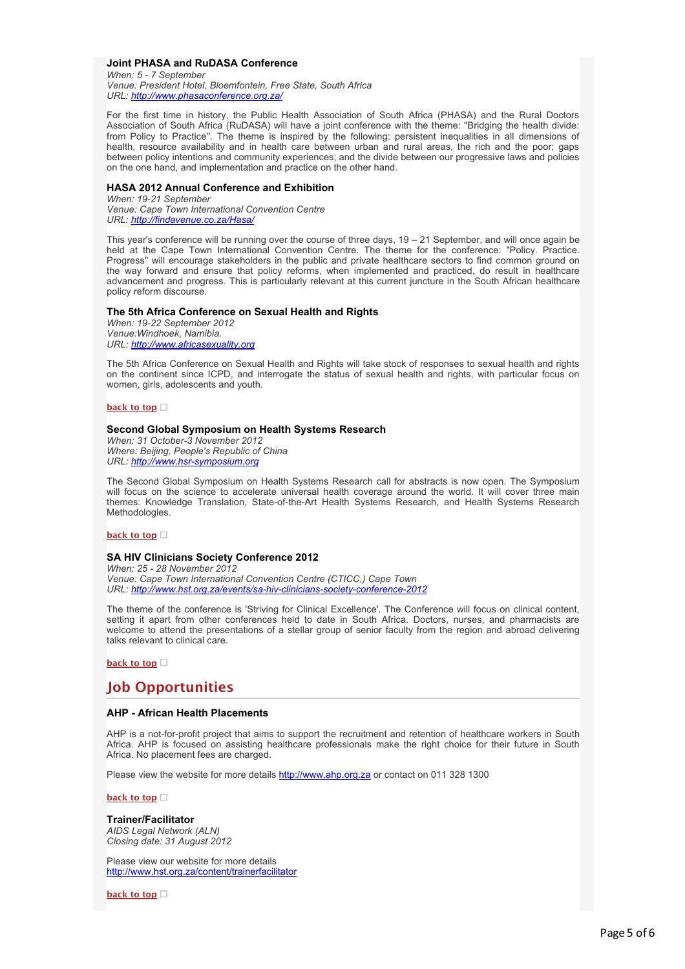### **Joint PHASA and RuDASA Conference**

*When: 5 - 7 September Venue: President Hotel, Bloemfontein, Free State, South Africa URL: [http://www.phasaconference.org.za/](http://bulletin.hst.org.za//lt.php?id=K09VC11dVAUESlBXBkUHC1NR)*

For the first time in history, the Public Health Association of South Africa (PHASA) and the Rural Doctors Association of South Africa (RuDASA) will have a joint conference with the theme: "Bridging the health divide: from Policy to Practice''. The theme is inspired by the following: persistent inequalities in all dimensions of health, resource availability and in health care between urban and rural areas, the rich and the poor; gaps between policy intentions and community experiences; and the divide between our progressive laws and policies on the one hand, and implementation and practice on the other hand.

### **HASA 2012 Annual Conference and Exhibition**

*When: 19-21 September Venue: Cape Town International Convention Centre URL: [http://findavenue.co.za/Hasa/](http://bulletin.hst.org.za//lt.php?id=K09VC11dVAUDSlBXBkUHC1NR)*

This year's conference will be running over the course of three days, 19 – 21 September, and will once again be held at the Cape Town International Convention Centre. The theme for the conference: "Policy. Practice. Progress" will encourage stakeholders in the public and private healthcare sectors to find common ground on the way forward and ensure that policy reforms, when implemented and practiced, do result in healthcare advancement and progress. This is particularly relevant at this current juncture in the South African healthcare policy reform discourse.

### **The 5th Africa Conference on Sexual Health and Rights**

*When: 19-22 September 2012 Venue:Windhoek, Namibia. URL: [http://www.africasexuality.org](http://bulletin.hst.org.za//lt.php?id=K09VC11dVAUCSlBXBkUHC1NR)*

The 5th Africa Conference on Sexual Health and Rights will take stock of responses to sexual health and rights on the continent since ICPD, and interrogate the status of sexual health and rights, with particular focus on women, girls, adolescents and youth.

### **[back to top](applewebdata://ACB2D218-4758-4F0C-A792-FB07655D4508#top)**

### **Second Global Symposium on Health Systems Research**

*When: 31 October-3 November 2012 Where: Beijing, People's Republic of China URL: [http://www.hsr-symposium.org](http://bulletin.hst.org.za//lt.php?id=K09VC11dVAUBSlBXBkUHC1NR)*

The Second Global Symposium on Health Systems Research call for abstracts is now open. The Symposium will focus on the science to accelerate universal health coverage around the world. It will cover three main themes: Knowledge Translation, State-of-the-Art Health Systems Research, and Health Systems Research Methodologies.

#### **[back to top](applewebdata://ACB2D218-4758-4F0C-A792-FB07655D4508#top)**

### **SA HIV Clinicians Society Conference 2012**

*When: 25 - 28 November 2012 Venue: Cape Town International Convention Centre (CTICC,) Cape Town URL: [http://www.hst.org.za/events/sa-hiv-clinicians-society-conference-2012](http://bulletin.hst.org.za//lt.php?id=K09VC11dVAUASlBXBkUHC1NR)*

The theme of the conference is 'Striving for Clinical Excellence'. The Conference will focus on clinical content, setting it apart from other conferences held to date in South Africa. Doctors, nurses, and pharmacists are welcome to attend the presentations of a stellar group of senior faculty from the region and abroad delivering talks relevant to clinical care.

### **[back to top](applewebdata://ACB2D218-4758-4F0C-A792-FB07655D4508#top)**

# **Job Opportunities**

### **AHP - African Health Placements**

AHP is a not-for-profit project that aims to support the recruitment and retention of healthcare workers in South Africa. AHP is focused on assisting healthcare professionals make the right choice for their future in South Africa. No placement fees are charged.

Please view the website for more details [http://www.ahp.org.za](http://bulletin.hst.org.za//lt.php?id=K09VC11dVAUPSlBXBkUHC1NR) or contact on 011 328 1300

#### **[back to top](applewebdata://ACB2D218-4758-4F0C-A792-FB07655D4508#top)**

### **Trainer/Facilitator**

*AIDS Legal Network (ALN) Closing date: 31 August 2012*

Please view our website for more details [http://www.hst.org.za/content/trainerfacilitator](http://bulletin.hst.org.za//lt.php?id=K09VC11dVAUOSlBXBkUHC1NR)

**[back to top](applewebdata://ACB2D218-4758-4F0C-A792-FB07655D4508#top)**